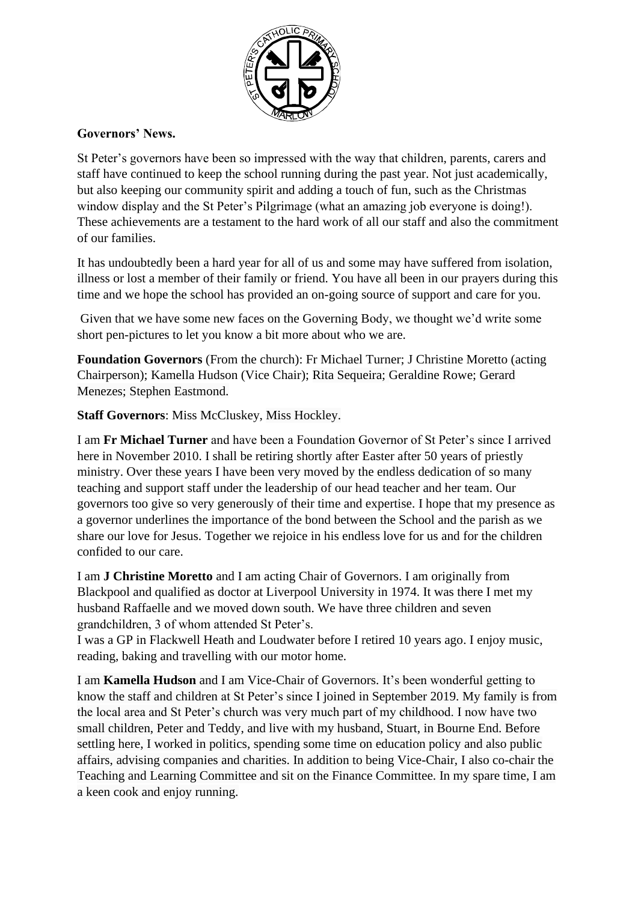

## **Governors' News.**

St Peter's governors have been so impressed with the way that children, parents, carers and staff have continued to keep the school running during the past year. Not just academically, but also keeping our community spirit and adding a touch of fun, such as the Christmas window display and the St Peter's Pilgrimage (what an amazing job everyone is doing!). These achievements are a testament to the hard work of all our staff and also the commitment of our families.

It has undoubtedly been a hard year for all of us and some may have suffered from isolation, illness or lost a member of their family or friend. You have all been in our prayers during this time and we hope the school has provided an on-going source of support and care for you.

Given that we have some new faces on the Governing Body, we thought we'd write some short pen-pictures to let you know a bit more about who we are.

**Foundation Governors** (From the church): Fr Michael Turner; J Christine Moretto (acting Chairperson); Kamella Hudson (Vice Chair); Rita Sequeira; Geraldine Rowe; Gerard Menezes; Stephen Eastmond.

**Staff Governors**: Miss McCluskey, Miss Hockley.

I am **Fr Michael Turner** and have been a Foundation Governor of St Peter's since I arrived here in November 2010. I shall be retiring shortly after Easter after 50 years of priestly ministry. Over these years I have been very moved by the endless dedication of so many teaching and support staff under the leadership of our head teacher and her team. Our governors too give so very generously of their time and expertise. I hope that my presence as a governor underlines the importance of the bond between the School and the parish as we share our love for Jesus. Together we rejoice in his endless love for us and for the children confided to our care.

I am **J Christine Moretto** and I am acting Chair of Governors. I am originally from Blackpool and qualified as doctor at Liverpool University in 1974. It was there I met my husband Raffaelle and we moved down south. We have three children and seven grandchildren, 3 of whom attended St Peter's.

I was a GP in Flackwell Heath and Loudwater before I retired 10 years ago. I enjoy music, reading, baking and travelling with our motor home.

I am **Kamella Hudson** and I am Vice-Chair of Governors. It's been wonderful getting to know the staff and children at St Peter's since I joined in September 2019. My family is from the local area and St Peter's church was very much part of my childhood. I now have two small children, Peter and Teddy, and live with my husband, Stuart, in Bourne End. Before settling here, I worked in politics, spending some time on education policy and also public affairs, advising companies and charities. In addition to being Vice-Chair, I also co-chair the Teaching and Learning Committee and sit on the Finance Committee. In my spare time, I am a keen cook and enjoy running.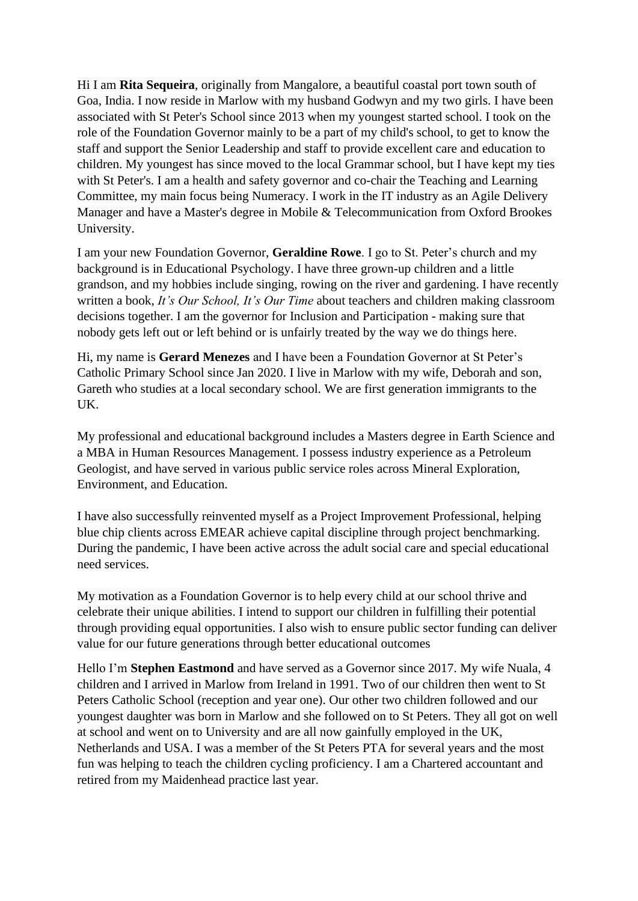Hi I am **Rita Sequeira**, originally from Mangalore, a beautiful coastal port town south of Goa, India. I now reside in Marlow with my husband Godwyn and my two girls. I have been associated with St Peter's School since 2013 when my youngest started school. I took on the role of the Foundation Governor mainly to be a part of my child's school, to get to know the staff and support the Senior Leadership and staff to provide excellent care and education to children. My youngest has since moved to the local Grammar school, but I have kept my ties with St Peter's. I am a health and safety governor and co-chair the Teaching and Learning Committee, my main focus being Numeracy. I work in the IT industry as an Agile Delivery Manager and have a Master's degree in Mobile & Telecommunication from Oxford Brookes University.

I am your new Foundation Governor, **Geraldine Rowe**. I go to St. Peter's church and my background is in Educational Psychology. I have three grown-up children and a little grandson, and my hobbies include singing, rowing on the river and gardening. I have recently written a book, *It's Our School, It's Our Time* about teachers and children making classroom decisions together. I am the governor for Inclusion and Participation - making sure that nobody gets left out or left behind or is unfairly treated by the way we do things here.

Hi, my name is **Gerard Menezes** and I have been a Foundation Governor at St Peter's Catholic Primary School since Jan 2020. I live in Marlow with my wife, Deborah and son, Gareth who studies at a local secondary school. We are first generation immigrants to the UK.

My professional and educational background includes a Masters degree in Earth Science and a MBA in Human Resources Management. I possess industry experience as a Petroleum Geologist, and have served in various public service roles across Mineral Exploration, Environment, and Education.

I have also successfully reinvented myself as a Project Improvement Professional, helping blue chip clients across EMEAR achieve capital discipline through project benchmarking. During the pandemic, I have been active across the adult social care and special educational need services.

My motivation as a Foundation Governor is to help every child at our school thrive and celebrate their unique abilities. I intend to support our children in fulfilling their potential through providing equal opportunities. I also wish to ensure public sector funding can deliver value for our future generations through better educational outcomes

Hello I'm **Stephen Eastmond** and have served as a Governor since 2017. My wife Nuala, 4 children and I arrived in Marlow from Ireland in 1991. Two of our children then went to St Peters Catholic School (reception and year one). Our other two children followed and our youngest daughter was born in Marlow and she followed on to St Peters. They all got on well at school and went on to University and are all now gainfully employed in the UK, Netherlands and USA. I was a member of the St Peters PTA for several years and the most fun was helping to teach the children cycling proficiency. I am a Chartered accountant and retired from my Maidenhead practice last year.